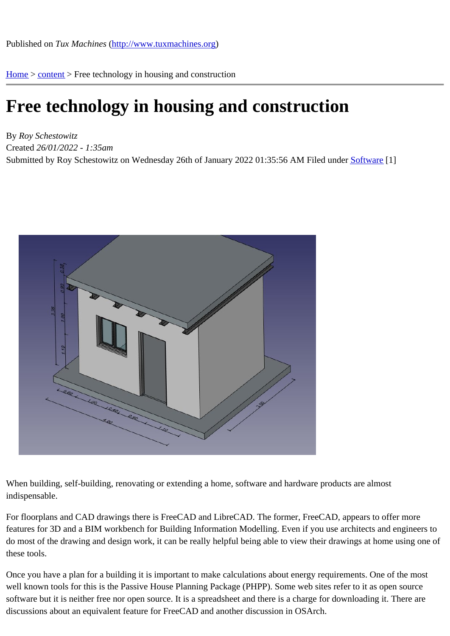Home > content > Free tec[hnology in housing and con](http://www.tuxmachines.org)struction

## [Fre](http://www.tuxmachines.org/)[e tec](http://www.tuxmachines.org/node)hnology in housing and construction

By Roy Schestowitz Created 26/01/2022 - 1:35am Submitted by Roy Schestowitz on Wednesday 26th of January 2022 01:35:56 AM Inder Software [1]

When building, self-building, renovating or extending a home, software and hardware products are almost indispensable.

For floorplans and CAD drawings there is FreeCAD and LibreCAD. The former, FreeCAD, appears to offer more features for 3D and a BIM workbench for Building Information Modelling. Even if you use architects and engineers do most of the drawing and design work, it can be really helpful being able to view their drawings at home using or these tools.

Once you have a plan for a building it is important to make calculations about energy requirements. One of the mo well known tools for this is the Passive House Planning Package (PHPP). Some web sites refer to it as open sourd software but it is neither free nor open source. It is a spreadsheet and there is a charge for downloading it. There a discussions about an equivalent feature for FreeCAD and another discussion in OSArch.